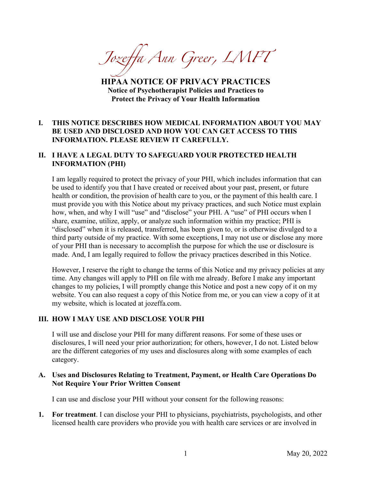*Jozeffa Ann Greer, LMFT*

**HIPAA NOTICE OF PRIVACY PRACTICES Notice of Psychotherapist Policies and Practices to Protect the Privacy of Your Health Information**

### **I. THIS NOTICE DESCRIBES HOW MEDICAL INFORMATION ABOUT YOU MAY BE USED AND DISCLOSED AND HOW YOU CAN GET ACCESS TO THIS INFORMATION. PLEASE REVIEW IT CAREFULLY.**

### **II. I HAVE A LEGAL DUTY TO SAFEGUARD YOUR PROTECTED HEALTH INFORMATION (PHI)**

I am legally required to protect the privacy of your PHI, which includes information that can be used to identify you that I have created or received about your past, present, or future health or condition, the provision of health care to you, or the payment of this health care. I must provide you with this Notice about my privacy practices, and such Notice must explain how, when, and why I will "use" and "disclose" your PHI. A "use" of PHI occurs when I share, examine, utilize, apply, or analyze such information within my practice; PHI is "disclosed" when it is released, transferred, has been given to, or is otherwise divulged to a third party outside of my practice. With some exceptions, I may not use or disclose any more of your PHI than is necessary to accomplish the purpose for which the use or disclosure is made. And, I am legally required to follow the privacy practices described in this Notice.

However, I reserve the right to change the terms of this Notice and my privacy policies at any time. Any changes will apply to PHI on file with me already. Before I make any important changes to my policies, I will promptly change this Notice and post a new copy of it on my website. You can also request a copy of this Notice from me, or you can view a copy of it at my website, which is located at jozeffa.com.

#### **III. HOW I MAY USE AND DISCLOSE YOUR PHI**

I will use and disclose your PHI for many different reasons. For some of these uses or disclosures, I will need your prior authorization; for others, however, I do not. Listed below are the different categories of my uses and disclosures along with some examples of each category.

#### **A. Uses and Disclosures Relating to Treatment, Payment, or Health Care Operations Do Not Require Your Prior Written Consent**

I can use and disclose your PHI without your consent for the following reasons:

**1. For treatment**. I can disclose your PHI to physicians, psychiatrists, psychologists, and other licensed health care providers who provide you with health care services or are involved in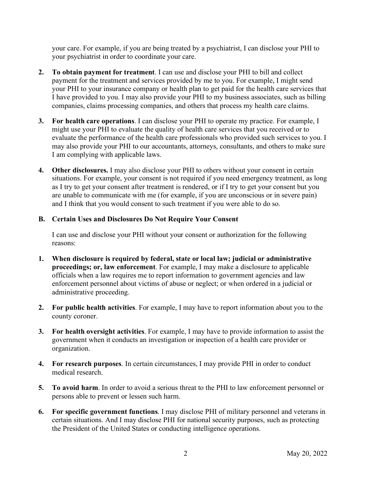your care. For example, if you are being treated by a psychiatrist, I can disclose your PHI to your psychiatrist in order to coordinate your care.

- **2. To obtain payment for treatment**. I can use and disclose your PHI to bill and collect payment for the treatment and services provided by me to you. For example, I might send your PHI to your insurance company or health plan to get paid for the health care services that I have provided to you. I may also provide your PHI to my business associates, such as billing companies, claims processing companies, and others that process my health care claims.
- **3. For health care operations**. I can disclose your PHI to operate my practice. For example, I might use your PHI to evaluate the quality of health care services that you received or to evaluate the performance of the health care professionals who provided such services to you. I may also provide your PHI to our accountants, attorneys, consultants, and others to make sure I am complying with applicable laws.
- **4. Other disclosures.** I may also disclose your PHI to others without your consent in certain situations. For example, your consent is not required if you need emergency treatment, as long as I try to get your consent after treatment is rendered, or if I try to get your consent but you are unable to communicate with me (for example, if you are unconscious or in severe pain) and I think that you would consent to such treatment if you were able to do so.

#### **B. Certain Uses and Disclosures Do Not Require Your Consent**

I can use and disclose your PHI without your consent or authorization for the following reasons:

- **1. When disclosure is required by federal, state or local law; judicial or administrative proceedings; or, law enforcement**. For example, I may make a disclosure to applicable officials when a law requires me to report information to government agencies and law enforcement personnel about victims of abuse or neglect; or when ordered in a judicial or administrative proceeding.
- **2. For public health activities**. For example, I may have to report information about you to the county coroner.
- **3. For health oversight activities**. For example, I may have to provide information to assist the government when it conducts an investigation or inspection of a health care provider or organization.
- **4. For research purposes**. In certain circumstances, I may provide PHI in order to conduct medical research.
- **5. To avoid harm**. In order to avoid a serious threat to the PHI to law enforcement personnel or persons able to prevent or lessen such harm.
- **6. For specific government functions**. I may disclose PHI of military personnel and veterans in certain situations. And I may disclose PHI for national security purposes, such as protecting the President of the United States or conducting intelligence operations.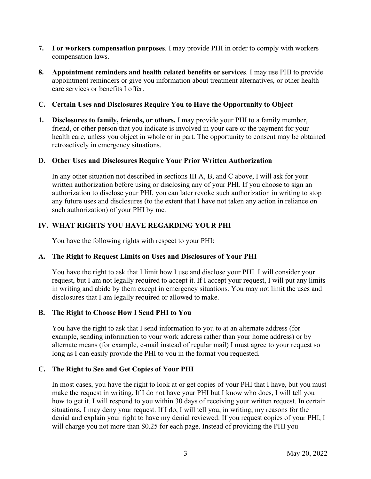- **7. For workers compensation purposes**. I may provide PHI in order to comply with workers compensation laws.
- **8. Appointment reminders and health related benefits or services**. I may use PHI to provide appointment reminders or give you information about treatment alternatives, or other health care services or benefits I offer.

#### **C. Certain Uses and Disclosures Require You to Have the Opportunity to Object**

**1. Disclosures to family, friends, or others.** I may provide your PHI to a family member, friend, or other person that you indicate is involved in your care or the payment for your health care, unless you object in whole or in part. The opportunity to consent may be obtained retroactively in emergency situations.

#### **D. Other Uses and Disclosures Require Your Prior Written Authorization**

In any other situation not described in sections III A, B, and C above, I will ask for your written authorization before using or disclosing any of your PHI. If you choose to sign an authorization to disclose your PHI, you can later revoke such authorization in writing to stop any future uses and disclosures (to the extent that I have not taken any action in reliance on such authorization) of your PHI by me.

### **IV. WHAT RIGHTS YOU HAVE REGARDING YOUR PHI**

You have the following rights with respect to your PHI:

### **A. The Right to Request Limits on Uses and Disclosures of Your PHI**

You have the right to ask that I limit how I use and disclose your PHI. I will consider your request, but I am not legally required to accept it. If I accept your request, I will put any limits in writing and abide by them except in emergency situations. You may not limit the uses and disclosures that I am legally required or allowed to make.

### **B. The Right to Choose How I Send PHI to You**

You have the right to ask that I send information to you to at an alternate address (for example, sending information to your work address rather than your home address) or by alternate means (for example, e-mail instead of regular mail) I must agree to your request so long as I can easily provide the PHI to you in the format you requested.

### **C. The Right to See and Get Copies of Your PHI**

In most cases, you have the right to look at or get copies of your PHI that I have, but you must make the request in writing. If I do not have your PHI but I know who does, I will tell you how to get it. I will respond to you within 30 days of receiving your written request. In certain situations, I may deny your request. If I do, I will tell you, in writing, my reasons for the denial and explain your right to have my denial reviewed. If you request copies of your PHI, I will charge you not more than \$0.25 for each page. Instead of providing the PHI you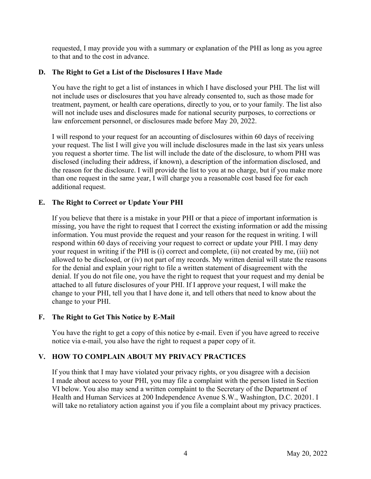requested, I may provide you with a summary or explanation of the PHI as long as you agree to that and to the cost in advance.

# **D. The Right to Get a List of the Disclosures I Have Made**

You have the right to get a list of instances in which I have disclosed your PHI. The list will not include uses or disclosures that you have already consented to, such as those made for treatment, payment, or health care operations, directly to you, or to your family. The list also will not include uses and disclosures made for national security purposes, to corrections or law enforcement personnel, or disclosures made before May 20, 2022.

I will respond to your request for an accounting of disclosures within 60 days of receiving your request. The list I will give you will include disclosures made in the last six years unless you request a shorter time. The list will include the date of the disclosure, to whom PHI was disclosed (including their address, if known), a description of the information disclosed, and the reason for the disclosure. I will provide the list to you at no charge, but if you make more than one request in the same year, I will charge you a reasonable cost based fee for each additional request.

# **E. The Right to Correct or Update Your PHI**

If you believe that there is a mistake in your PHI or that a piece of important information is missing, you have the right to request that I correct the existing information or add the missing information. You must provide the request and your reason for the request in writing. I will respond within 60 days of receiving your request to correct or update your PHI. I may deny your request in writing if the PHI is (i) correct and complete, (ii) not created by me, (iii) not allowed to be disclosed, or (iv) not part of my records. My written denial will state the reasons for the denial and explain your right to file a written statement of disagreement with the denial. If you do not file one, you have the right to request that your request and my denial be attached to all future disclosures of your PHI. If I approve your request, I will make the change to your PHI, tell you that I have done it, and tell others that need to know about the change to your PHI.

### **F. The Right to Get This Notice by E-Mail**

You have the right to get a copy of this notice by e-mail. Even if you have agreed to receive notice via e-mail, you also have the right to request a paper copy of it.

# **V. HOW TO COMPLAIN ABOUT MY PRIVACY PRACTICES**

If you think that I may have violated your privacy rights, or you disagree with a decision I made about access to your PHI, you may file a complaint with the person listed in Section VI below. You also may send a written complaint to the Secretary of the Department of Health and Human Services at 200 Independence Avenue S.W., Washington, D.C. 20201. I will take no retaliatory action against you if you file a complaint about my privacy practices.